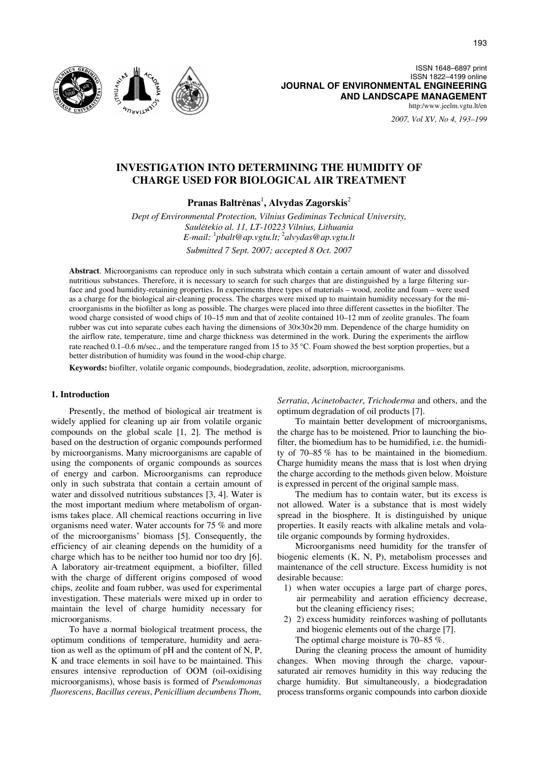

ISSN 1648–6897 print ISSN 1822–4199 online **JOURNAL OF ENVIRONMENTAL ENGINEERING AND LANDSCAPE MANAGEMENT** http:/www.jeelm.vgtu.lt/en

*2007, Vol XV, No 4, 193–199*

# **INVESTIGATION INTO DETERMINING THE HUMIDITY OF CHARGE USED FOR BIOLOGICAL AIR TREATMENT**

**Pranas Baltr**ė**nas**<sup>1</sup> **, Alvydas Zagorskis**<sup>2</sup>

*Dept of Environmental Protection, Vilnius Gediminas Technical University, Saul*ė*tekio al. 11, LT-10223 Vilnius, Lithuania E-mail:* <sup>1</sup> *pbalt@ap.vgtu.lt;* <sup>2</sup> *alvydas@ap.vgtu.lt Submitted 7 Sept. 2007; accepted 8 Oct. 2007* 

**Abstract**. Microorganisms can reproduce only in such substrata which contain a certain amount of water and dissolved nutritious substances. Therefore, it is necessary to search for such charges that are distinguished by a large filtering surface and good humidity-retaining properties. In experiments three types of materials – wood, zeolite and foam – were used as a charge for the biological air-cleaning process. The charges were mixed up to maintain humidity necessary for the microorganisms in the biofilter as long as possible. The charges were placed into three different cassettes in the biofilter. The wood charge consisted of wood chips of 10–15 mm and that of zeolite contained 10–12 mm of zeolite granules. The foam rubber was cut into separate cubes each having the dimensions of 30×30×20 mm. Dependence of the charge humidity on the airflow rate, temperature, time and charge thickness was determined in the work. During the experiments the airflow<br>rate reached 0.1–0.6 m/sec., and the temperature ranged from 15 to 35 °C. Foam showed the best sorptio better distribution of humidity was found in the wood-chip charge.

**Keywords:** biofilter, volatile organic compounds, biodegradation, zeolite, adsorption, microorganisms.

#### **1. Introduction**

Presently, the method of biological air treatment is widely applied for cleaning up air from volatile organic compounds on the global scale [1, 2]. The method is based on the destruction of organic compounds performed by microorganisms. Many microorganisms are capable of using the components of organic compounds as sources of energy and carbon. Microorganisms can reproduce only in such substrata that contain a certain amount of water and dissolved nutritious substances [3, 4]. Water is the most important medium where metabolism of organisms takes place. All chemical reactions occurring in live organisms need water. Water accounts for 75 % and more of the microorganisms' biomass [5]. Consequently, the efficiency of air cleaning depends on the humidity of a charge which has to be neither too humid nor too dry [6]. A laboratory air-treatment equipment, a biofilter, filled with the charge of different origins composed of wood chips, zeolite and foam rubber, was used for experimental investigation. These materials were mixed up in order to maintain the level of charge humidity necessary for microorganisms.

To have a normal biological treatment process, the optimum conditions of temperature, humidity and aeration as well as the optimum of pH and the content of N, P, K and trace elements in soil have to be maintained. This ensures intensive reproduction of OOM (oil-oxidising microorganisms), whose basis is formed of *Pseudomonas fluorescens*, *Bacillus cereus*, *Penicillium decumbens Thom*,

*Serratia*, *Acinetobacter*, *Trichoderma* and others, and the optimum degradation of oil products [7].

To maintain better development of microorganisms, the charge has to be moistened. Prior to launching the biofilter, the biomedium has to be humidified, i.e. the humidity of 70–85 % has to be maintained in the biomedium. Charge humidity means the mass that is lost when drying the charge according to the methods given below. Moisture is expressed in percent of the original sample mass.

The medium has to contain water, but its excess is not allowed. Water is a substance that is most widely spread in the biosphere. It is distinguished by unique properties. It easily reacts with alkaline metals and volatile organic compounds by forming hydroxides.

Microorganisms need humidity for the transfer of biogenic elements (K, N, P), metabolism processes and maintenance of the cell structure. Excess humidity is not desirable because:

- 1) when water occupies a large part of charge pores, air permeability and aeration efficiency decrease, but the cleaning efficiency rises;
- 2) 2) excess humidity reinforces washing of pollutants and biogenic elements out of the charge [7]. The optimal charge moisture is 70–85 %.

During the cleaning process the amount of humidity changes. When moving through the charge, vapoursaturated air removes humidity in this way reducing the charge humidity. But simultaneously, a biodegradation process transforms organic compounds into carbon dioxide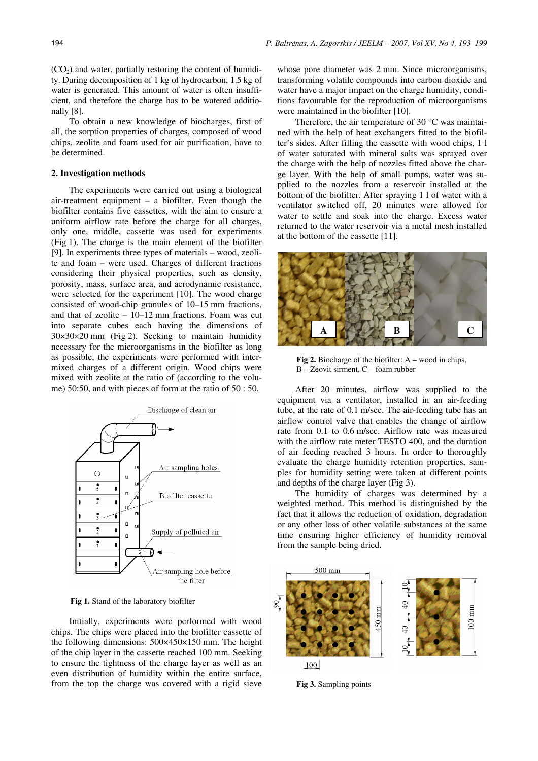$(CO<sub>2</sub>)$  and water, partially restoring the content of humidity. During decomposition of 1 kg of hydrocarbon, 1.5 kg of water is generated. This amount of water is often insufficient, and therefore the charge has to be watered additionally [8].

To obtain a new knowledge of biocharges, first of all, the sorption properties of charges, composed of wood chips, zeolite and foam used for air purification, have to be determined.

## **2. Investigation methods**

The experiments were carried out using a biological air-treatment equipment – a biofilter. Even though the biofilter contains five cassettes, with the aim to ensure a uniform airflow rate before the charge for all charges, only one, middle, cassette was used for experiments (Fig 1). The charge is the main element of the biofilter [9]. In experiments three types of materials – wood, zeolite and foam – were used. Charges of different fractions considering their physical properties, such as density, porosity, mass, surface area, and aerodynamic resistance, were selected for the experiment [10]. The wood charge consisted of wood-chip granules of 10–15 mm fractions, and that of zeolite – 10–12 mm fractions. Foam was cut into separate cubes each having the dimensions of  $30 \times 30 \times 20$  mm (Fig 2). Seeking to maintain humidity necessary for the microorganisms in the biofilter as long as possible, the experiments were performed with intermixed charges of a different origin. Wood chips were mixed with zeolite at the ratio of (according to the volume) 50:50, and with pieces of form at the ratio of 50 : 50.



**Fig 1.** Stand of the laboratory biofilter

Initially, experiments were performed with wood chips. The chips were placed into the biofilter cassette of the following dimensions: 500×450×150 mm. The height of the chip layer in the cassette reached 100 mm. Seeking to ensure the tightness of the charge layer as well as an even distribution of humidity within the entire surface, from the top the charge was covered with a rigid sieve

whose pore diameter was 2 mm. Since microorganisms, transforming volatile compounds into carbon dioxide and water have a major impact on the charge humidity, conditions favourable for the reproduction of microorganisms were maintained in the biofilter [10].

Therefore, the air temperature of 30 °C was maintained with the help of heat exchangers fitted to the biofilter's sides. After filling the cassette with wood chips, 1 l of water saturated with mineral salts was sprayed over the charge with the help of nozzles fitted above the charge layer. With the help of small pumps, water was supplied to the nozzles from a reservoir installed at the bottom of the biofilter. After spraying 1 l of water with a ventilator switched off, 20 minutes were allowed for water to settle and soak into the charge. Excess water returned to the water reservoir via a metal mesh installed at the bottom of the cassette [11].



**Fig 2.** Biocharge of the biofilter: A – wood in chips, B – Zeovit sirment, C – foam rubber

After 20 minutes, airflow was supplied to the equipment via a ventilator, installed in an air-feeding tube, at the rate of 0.1 m/sec. The air-feeding tube has an airflow control valve that enables the change of airflow rate from 0.1 to 0.6 m/sec. Airflow rate was measured with the airflow rate meter TESTO 400, and the duration of air feeding reached 3 hours. In order to thoroughly evaluate the charge humidity retention properties, samples for humidity setting were taken at different points and depths of the charge layer (Fig 3).

The humidity of charges was determined by a weighted method. This method is distinguished by the fact that it allows the reduction of oxidation, degradation or any other loss of other volatile substances at the same time ensuring higher efficiency of humidity removal from the sample being dried.



**Fig 3.** Sampling points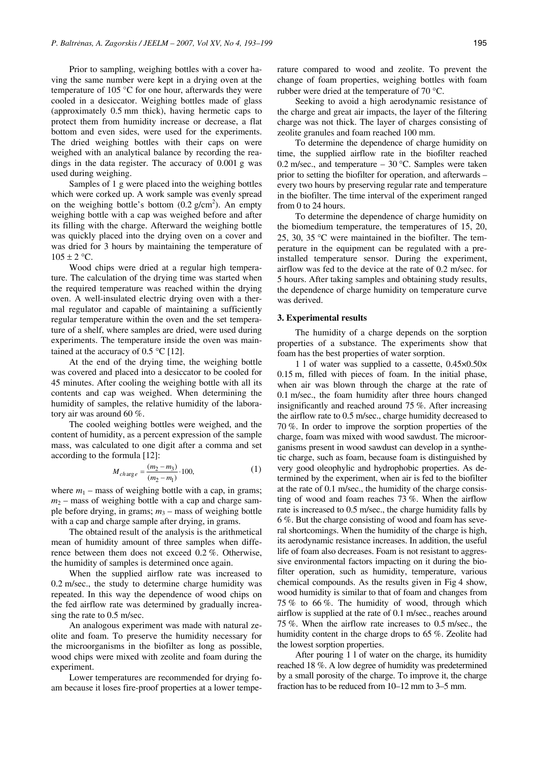Prior to sampling, weighing bottles with a cover having the same number were kept in a drying oven at the temperature of 105 °C for one hour, afterwards they were cooled in a desiccator. Weighing bottles made of glass (approximately 0.5 mm thick), having hermetic caps to protect them from humidity increase or decrease, a flat bottom and even sides, were used for the experiments. The dried weighing bottles with their caps on were weighed with an analytical balance by recording the readings in the data register. The accuracy of 0.001 g was used during weighing.

Samples of 1 g were placed into the weighing bottles which were corked up. A work sample was evenly spread on the weighing bottle's bottom  $(0.2 \text{ g/cm}^2)$ . An empty weighing bottle with a cap was weighed before and after its filling with the charge. Afterward the weighing bottle was quickly placed into the drying oven on a cover and was dried for 3 hours by maintaining the temperature of  $105 \pm 2$  °C.

Wood chips were dried at a regular high temperature. The calculation of the drying time was started when the required temperature was reached within the drying oven. A well-insulated electric drying oven with a thermal regulator and capable of maintaining a sufficiently regular temperature within the oven and the set temperature of a shelf, where samples are dried, were used during experiments. The temperature inside the oven was maintained at the accuracy of 0.5  $\degree$ C [12].

At the end of the drying time, the weighing bottle was covered and placed into a desiccator to be cooled for 45 minutes. After cooling the weighing bottle with all its contents and cap was weighed. When determining the humidity of samples, the relative humidity of the laboratory air was around 60 %.

The cooled weighing bottles were weighed, and the content of humidity, as a percent expression of the sample mass, was calculated to one digit after a comma and set according to the formula [12]:

$$
M_{charge} = \frac{(m_2 - m_3)}{(m_2 - m_1)} \cdot 100,
$$
 (1)

where  $m_1$  – mass of weighing bottle with a cap, in grams;  $m<sub>2</sub>$  – mass of weighing bottle with a cap and charge sample before drying, in grams;  $m_3$  – mass of weighing bottle with a cap and charge sample after drying, in grams.

The obtained result of the analysis is the arithmetical mean of humidity amount of three samples when difference between them does not exceed 0.2 %. Otherwise, the humidity of samples is determined once again.

When the supplied airflow rate was increased to 0.2 m/sec., the study to determine charge humidity was repeated. In this way the dependence of wood chips on the fed airflow rate was determined by gradually increasing the rate to 0.5 m/sec.

An analogous experiment was made with natural zeolite and foam. To preserve the humidity necessary for the microorganisms in the biofilter as long as possible, wood chips were mixed with zeolite and foam during the experiment.

Lower temperatures are recommended for drying foam because it loses fire-proof properties at a lower temperature compared to wood and zeolite. To prevent the change of foam properties, weighing bottles with foam rubber were dried at the temperature of 70 °C.

Seeking to avoid a high aerodynamic resistance of the charge and great air impacts, the layer of the filtering charge was not thick. The layer of charges consisting of zeolite granules and foam reached 100 mm.

To determine the dependence of charge humidity on time, the supplied airflow rate in the biofilter reached 0.2 m/sec., and temperature  $-$  30 °C. Samples were taken prior to setting the biofilter for operation, and afterwards – every two hours by preserving regular rate and temperature in the biofilter. The time interval of the experiment ranged from  $\theta$  to 24 hours.

To determine the dependence of charge humidity on the biomedium temperature, the temperatures of 15, 20, 25, 30, 35 °C were maintained in the biofilter. The temperature in the equipment can be regulated with a preinstalled temperature sensor. During the experiment, airflow was fed to the device at the rate of 0.2 m/sec. for 5 hours. After taking samples and obtaining study results, the dependence of charge humidity on temperature curve was derived.

#### **3. Experimental results**

The humidity of a charge depends on the sorption properties of a substance. The experiments show that foam has the best properties of water sorption.

1 l of water was supplied to a cassette, 0.45×0.50× 0.15 m, filled with pieces of foam. In the initial phase, when air was blown through the charge at the rate of 0.1 m/sec., the foam humidity after three hours changed insignificantly and reached around 75 %. After increasing the airflow rate to 0.5 m/sec., charge humidity decreased to 70 %. In order to improve the sorption properties of the charge, foam was mixed with wood sawdust. The microorganisms present in wood sawdust can develop in a synthetic charge, such as foam, because foam is distinguished by very good oleophylic and hydrophobic properties. As determined by the experiment, when air is fed to the biofilter at the rate of 0.1 m/sec., the humidity of the charge consisting of wood and foam reaches 73 %. When the airflow rate is increased to 0.5 m/sec., the charge humidity falls by 6 %. But the charge consisting of wood and foam has several shortcomings. When the humidity of the charge is high, its aerodynamic resistance increases. In addition, the useful life of foam also decreases. Foam is not resistant to aggressive environmental factors impacting on it during the biofilter operation, such as humidity, temperature, various chemical compounds. As the results given in Fig 4 show, wood humidity is similar to that of foam and changes from 75 % to 66 %. The humidity of wood, through which airflow is supplied at the rate of 0.1 m/sec., reaches around 75 %. When the airflow rate increases to 0.5 m/sec., the humidity content in the charge drops to 65 %. Zeolite had the lowest sorption properties.

After pouring 1 l of water on the charge, its humidity reached 18 %. A low degree of humidity was predetermined by a small porosity of the charge. To improve it, the charge fraction has to be reduced from 10–12 mm to 3–5 mm.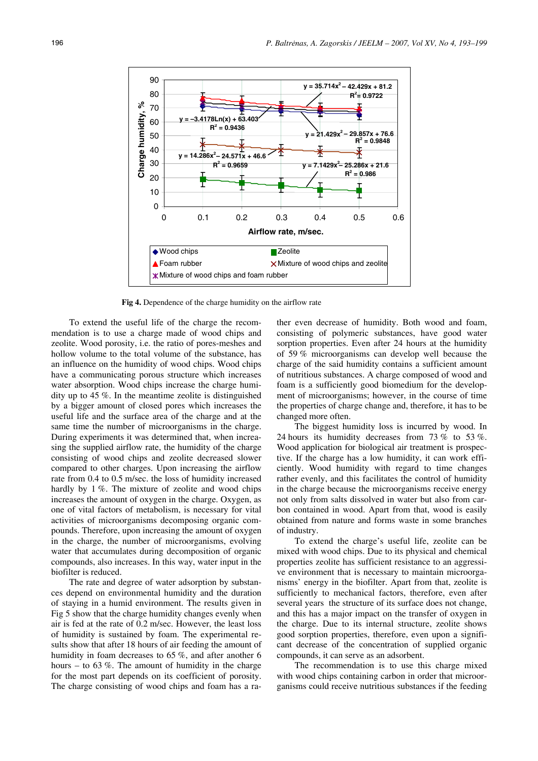

**Fig 4.** Dependence of the charge humidity on the airflow rate

To extend the useful life of the charge the recommendation is to use a charge made of wood chips and zeolite. Wood porosity, i.e. the ratio of pores-meshes and hollow volume to the total volume of the substance, has an influence on the humidity of wood chips. Wood chips have a communicating porous structure which increases water absorption. Wood chips increase the charge humidity up to 45 %. In the meantime zeolite is distinguished by a bigger amount of closed pores which increases the useful life and the surface area of the charge and at the same time the number of microorganisms in the charge. During experiments it was determined that, when increasing the supplied airflow rate, the humidity of the charge consisting of wood chips and zeolite decreased slower compared to other charges. Upon increasing the airflow rate from 0.4 to 0.5 m/sec. the loss of humidity increased hardly by 1 %. The mixture of zeolite and wood chips increases the amount of oxygen in the charge. Oxygen, as one of vital factors of metabolism, is necessary for vital activities of microorganisms decomposing organic compounds. Therefore, upon increasing the amount of oxygen in the charge, the number of microorganisms, evolving water that accumulates during decomposition of organic compounds, also increases. In this way, water input in the biofilter is reduced.

The rate and degree of water adsorption by substances depend on environmental humidity and the duration of staying in a humid environment. The results given in Fig 5 show that the charge humidity changes evenly when air is fed at the rate of 0.2 m/sec. However, the least loss of humidity is sustained by foam. The experimental results show that after 18 hours of air feeding the amount of humidity in foam decreases to 65 %, and after another 6 hours – to  $63\%$ . The amount of humidity in the charge for the most part depends on its coefficient of porosity. The charge consisting of wood chips and foam has a rather even decrease of humidity. Both wood and foam, consisting of polymeric substances, have good water sorption properties. Even after 24 hours at the humidity of 59 % microorganisms can develop well because the charge of the said humidity contains a sufficient amount of nutritious substances. A charge composed of wood and foam is a sufficiently good biomedium for the development of microorganisms; however, in the course of time the properties of charge change and, therefore, it has to be changed more often.

The biggest humidity loss is incurred by wood. In 24 hours its humidity decreases from 73 % to 53 %. Wood application for biological air treatment is prospective. If the charge has a low humidity, it can work efficiently. Wood humidity with regard to time changes rather evenly, and this facilitates the control of humidity in the charge because the microorganisms receive energy not only from salts dissolved in water but also from carbon contained in wood. Apart from that, wood is easily obtained from nature and forms waste in some branches of industry.

To extend the charge's useful life, zeolite can be mixed with wood chips. Due to its physical and chemical properties zeolite has sufficient resistance to an aggressive environment that is necessary to maintain microorganisms' energy in the biofilter. Apart from that, zeolite is sufficiently to mechanical factors, therefore, even after several years the structure of its surface does not change, and this has a major impact on the transfer of oxygen in the charge. Due to its internal structure, zeolite shows good sorption properties, therefore, even upon a significant decrease of the concentration of supplied organic compounds, it can serve as an adsorbent.

The recommendation is to use this charge mixed with wood chips containing carbon in order that microorganisms could receive nutritious substances if the feeding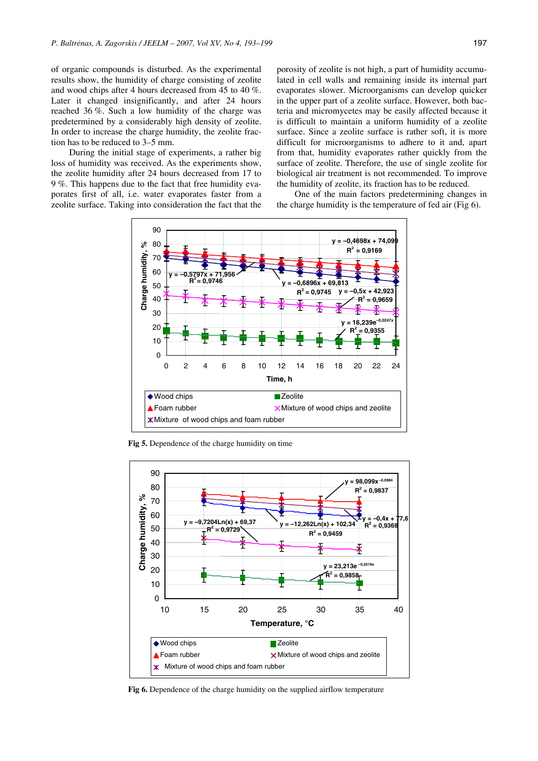of organic compounds is disturbed. As the experimental results show, the humidity of charge consisting of zeolite and wood chips after 4 hours decreased from 45 to 40 %. Later it changed insignificantly, and after 24 hours reached 36 %. Such a low humidity of the charge was predetermined by a considerably high density of zeolite. In order to increase the charge humidity, the zeolite fraction has to be reduced to 3–5 mm.

During the initial stage of experiments, a rather big loss of humidity was received. As the experiments show, the zeolite humidity after 24 hours decreased from 17 to 9 %. This happens due to the fact that free humidity evaporates first of all, i.e. water evaporates faster from a zeolite surface. Taking into consideration the fact that the porosity of zeolite is not high, a part of humidity accumulated in cell walls and remaining inside its internal part evaporates slower. Microorganisms can develop quicker in the upper part of a zeolite surface. However, both bacteria and micromycetes may be easily affected because it is difficult to maintain a uniform humidity of a zeolite surface. Since a zeolite surface is rather soft, it is more difficult for microorganisms to adhere to it and, apart from that, humidity evaporates rather quickly from the surface of zeolite. Therefore, the use of single zeolite for biological air treatment is not recommended. To improve the humidity of zeolite, its fraction has to be reduced.

One of the main factors predetermining changes in the charge humidity is the temperature of fed air (Fig 6).



**Fig 5.** Dependence of the charge humidity on time



**Fig 6.** Dependence of the charge humidity on the supplied airflow temperature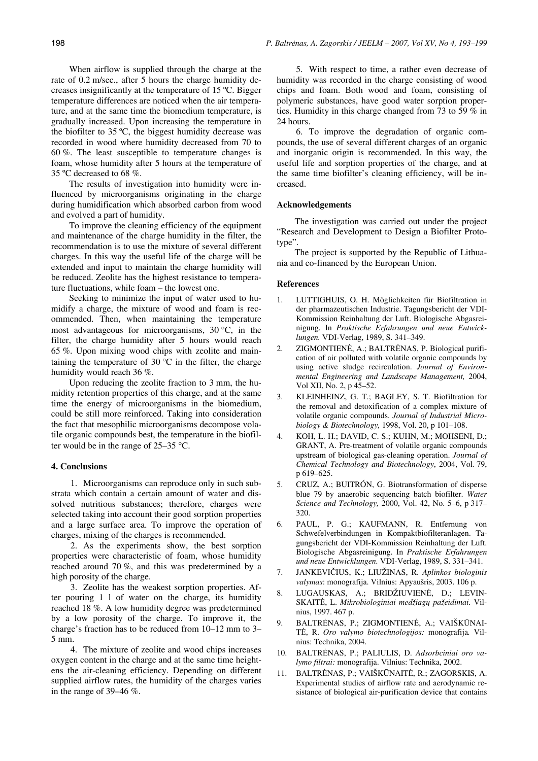When airflow is supplied through the charge at the rate of 0.2 m/sec., after 5 hours the charge humidity decreases insignificantly at the temperature of 15 ºC. Bigger temperature differences are noticed when the air temperature, and at the same time the biomedium temperature, is gradually increased. Upon increasing the temperature in the biofilter to 35 ºC, the biggest humidity decrease was recorded in wood where humidity decreased from 70 to 60 %. The least susceptible to temperature changes is foam, whose humidity after 5 hours at the temperature of 35 ºC decreased to 68 %.

The results of investigation into humidity were influenced by microorganisms originating in the charge during humidification which absorbed carbon from wood and evolved a part of humidity.

To improve the cleaning efficiency of the equipment and maintenance of the charge humidity in the filter, the recommendation is to use the mixture of several different charges. In this way the useful life of the charge will be extended and input to maintain the charge humidity will be reduced. Zeolite has the highest resistance to temperature fluctuations, while foam – the lowest one.

Seeking to minimize the input of water used to humidify a charge, the mixture of wood and foam is recommended. Then, when maintaining the temperature most advantageous for microorganisms, 30 °C, in the filter, the charge humidity after 5 hours would reach 65 %. Upon mixing wood chips with zeolite and main-taining the temperature of 30 °C in the filter, the charge humidity would reach 36 %.

Upon reducing the zeolite fraction to 3 mm, the humidity retention properties of this charge, and at the same time the energy of microorganisms in the biomedium, could be still more reinforced. Taking into consideration the fact that mesophilic microorganisms decompose volatile organic compounds best, the temperature in the biofil-ter would be in the range of 25–35 °C.

### **4. Conclusions**

1. Microorganisms can reproduce only in such substrata which contain a certain amount of water and dissolved nutritious substances; therefore, charges were selected taking into account their good sorption properties and a large surface area. To improve the operation of charges, mixing of the charges is recommended.

2. As the experiments show, the best sorption properties were characteristic of foam, whose humidity reached around 70 %, and this was predetermined by a high porosity of the charge.

3. Zeolite has the weakest sorption properties. After pouring 1 l of water on the charge, its humidity reached 18 %. A low humidity degree was predetermined by a low porosity of the charge. To improve it, the charge's fraction has to be reduced from 10–12 mm to 3– 5 mm.

4. The mixture of zeolite and wood chips increases oxygen content in the charge and at the same time heightens the air-cleaning efficiency. Depending on different supplied airflow rates, the humidity of the charges varies in the range of 39–46 %.

5. With respect to time, a rather even decrease of humidity was recorded in the charge consisting of wood chips and foam. Both wood and foam, consisting of polymeric substances, have good water sorption properties. Humidity in this charge changed from 73 to 59 % in 24 hours.

6. To improve the degradation of organic compounds, the use of several different charges of an organic and inorganic origin is recommended. In this way, the useful life and sorption properties of the charge, and at the same time biofilter's cleaning efficiency, will be increased.

### **Acknowledgements**

The investigation was carried out under the project "Research and Development to Design a Biofilter Prototype".

The project is supported by the Republic of Lithuania and co-financed by the European Union.

### **References**

- 1. LUTTIGHUIS, O. H. Möglichkeiten für Biofiltration in der pharmazeutischen Industrie. Tagungsbericht der VDI-Kommission Reinhaltung der Luft. Biologische Abgasreinigung. In *Praktische Erfahrungen und neue Entwicklungen.* VDI-Verlag, 1989, S. 341–349.
- 2. ZIGMONTIENĖ, A.; BALTRĖNAS, P. Biological purification of air polluted with volatile organic compounds by using active sludge recirculation. *Journal of Environmental Engineering and Landscape Management,* 2004, Vol XII, No. 2, p 45–52.
- 3. KLEINHEINZ, G. T.; BAGLEY, S. T. Biofiltration for the removal and detoxification of a complex mixture of volatile organic compounds. *Journal of Industrial Microbiology & Biotechnology,* 1998, Vol. 20, p 101–108.
- 4. KOH, L. H.; DAVID, C. S.; KUHN, M.; MOHSENI, D.; GRANT, A. Pre-treatment of volatile organic compounds upstream of biological gas-cleaning operation. *Journal of Chemical Technology and Biotechnology*, 2004, Vol. 79, p 619–625.
- 5. CRUZ, A.; BUITRÓN, G. Biotransformation of disperse blue 79 by anaerobic sequencing batch biofilter. *Water Science and Technology,* 2000, Vol. 42, No. 5–6, p 317– 320.
- 6. PAUL, P. G.; KAUFMANN, R. Entfernung von Schwefelverbindungen in Kompaktbiofilteranlagen. Tagungsbericht der VDI-Kommission Reinhaltung der Luft. Biologische Abgasreinigung. In *Praktische Erfahrungen und neue Entwicklungen.* VDI-Verlag, 1989, S. 331–341.
- 7. JANKEVIČIUS, K.; LIUŽINAS, R. *Aplinkos biologinis valymas*: monografija. Vilnius: Apyaušris, 2003. 106 p.
- 8. LUGAUSKAS, A.; BRIDŽIUVIENĖ, D.; LEVIN-SKAITĖ, L. *Mikrobiologiniai medžiag*ų *pažeidimai.* Vilnius, 1997. 467 p.
- 9. BALTRĖNAS, P.; ZIGMONTIENĖ, A.; VAIŠKŪNAI-TĖ, R. *Oro valymo biotechnologijos:* monografija*.* Vilnius: Technika, 2004.
- 10. BALTRĖNAS, P.; PALIULIS, D. *Adsorbciniai oro valymo filtrai:* monografija. Vilnius: Technika, 2002.
- 11. BALTRĖNAS, P.; VAIŠKŪNAITĖ, R.; ZAGORSKIS, A. Experimental studies of airflow rate and aerodynamic resistance of biological air-purification device that contains